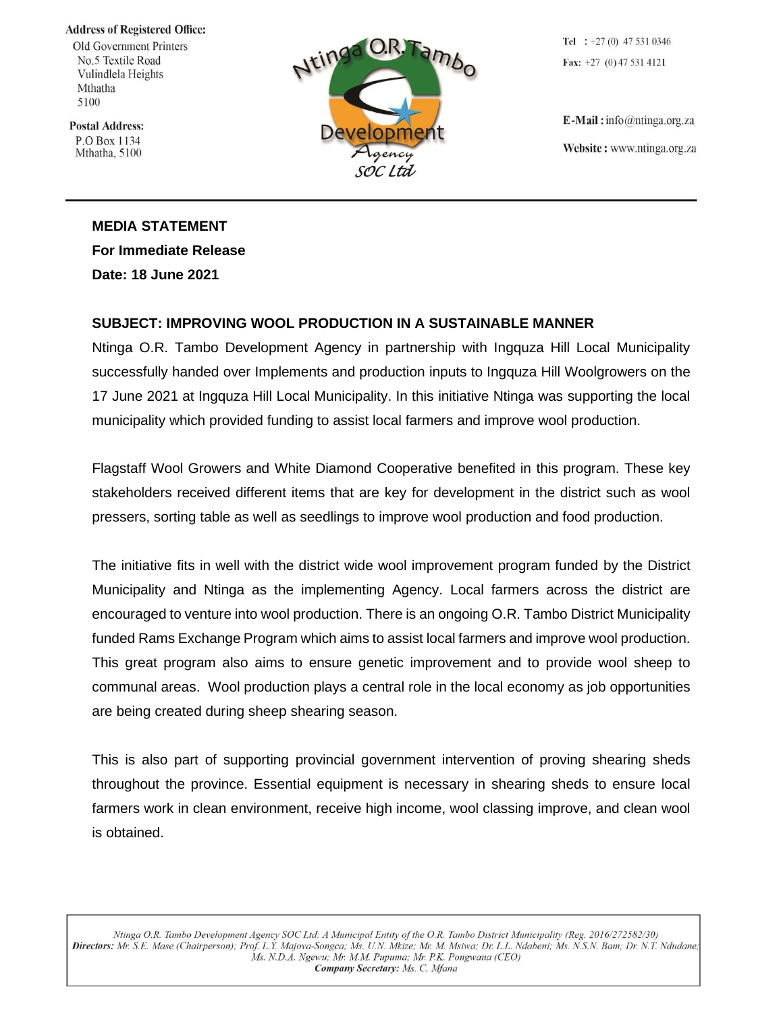**Address of Registered Office:** 

Old Government Printers No.5 Textile Road Vulindlela Heights Mthatha 5100

**Postal Address:** P.O Box 1134 Mthatha, 5100



Tel :  $+27(0)$  47 531 0346 Fax:  $+27$  (0) 47 531 4121

 $E$ -Mail: info@ntinga.org.za Website: www.ntinga.org.za

**MEDIA STATEMENT For Immediate Release Date: 18 June 2021**

## **SUBJECT: IMPROVING WOOL PRODUCTION IN A SUSTAINABLE MANNER**

Ntinga O.R. Tambo Development Agency in partnership with Ingquza Hill Local Municipality successfully handed over Implements and production inputs to Ingquza Hill Woolgrowers on the 17 June 2021 at Ingquza Hill Local Municipality. In this initiative Ntinga was supporting the local municipality which provided funding to assist local farmers and improve wool production.

Flagstaff Wool Growers and White Diamond Cooperative benefited in this program. These key stakeholders received different items that are key for development in the district such as wool pressers, sorting table as well as seedlings to improve wool production and food production.

The initiative fits in well with the district wide wool improvement program funded by the District Municipality and Ntinga as the implementing Agency. Local farmers across the district are encouraged to venture into wool production. There is an ongoing O.R. Tambo District Municipality funded Rams Exchange Program which aims to assist local farmers and improve wool production. This great program also aims to ensure genetic improvement and to provide wool sheep to communal areas. Wool production plays a central role in the local economy as job opportunities are being created during sheep shearing season.

This is also part of supporting provincial government intervention of proving shearing sheds throughout the province. Essential equipment is necessary in shearing sheds to ensure local farmers work in clean environment, receive high income, wool classing improve, and clean wool is obtained.

Ntinga O.R. Tambo Development Agency SOC Ltd: A Municipal Entity of the O.R. Tambo District Municipality (Reg. 2016/272582/30) Directors: Mr. S.E. Mase (Chairperson); Prof. L.Y. Majova-Songca; Ms. U.N. Mkize; Mr. M. Msiwa; Dr. L.L. Ndabeni; Ms. N.S.N. Bam; Dr. N.T. Ndudane; Ms. N.D.A. Ngewu; Mr. M.M. Pupuma; Mr. P.K. Pongwana (CEO) Company Secretary: Ms. C. Mfana